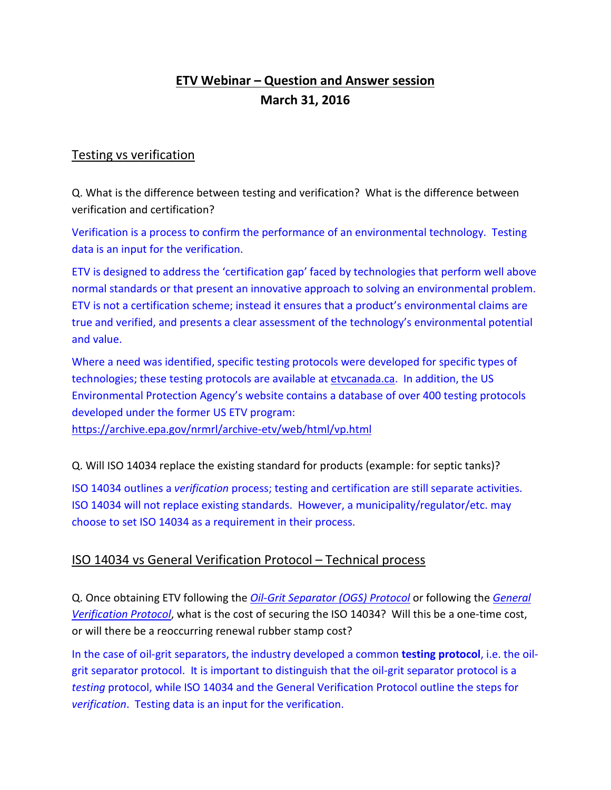# **ETV Webinar – Question and Answer session March 31, 2016**

## Testing vs verification

Q. What is the difference between testing and verification? What is the difference between verification and certification?

Verification is a process to confirm the performance of an environmental technology. Testing data is an input for the verification.

ETV is designed to address the 'certification gap' faced by technologies that perform well above normal standards or that present an innovative approach to solving an environmental problem. ETV is not a certification scheme; instead it ensures that a product's environmental claims are true and verified, and presents a clear assessment of the technology's environmental potential and value.

Where a need was identified, specific testing protocols were developed for specific types of technologies; these testing protocols are available at [etvcanada.ca.](http://etvcanada.ca/home/protocols-and-procedures/) In addition, the US Environmental Protection Agency's website contains a database of over 400 testing protocols developed under the former US ETV program:

<https://archive.epa.gov/nrmrl/archive-etv/web/html/vp.html>

Q. Will ISO 14034 replace the existing standard for products (example: for septic tanks)?

ISO 14034 outlines a *verification* process; testing and certification are still separate activities. ISO 14034 will not replace existing standards. However, a municipality/regulator/etc. may choose to set ISO 14034 as a requirement in their process.

## ISO 14034 vs General Verification Protocol – Technical process

Q. Once obtaining ETV following the *[Oil-Grit Separator \(OGS\) Protocol](http://etvcanada.ca/wp-content/uploads/2014/06/ETV-OGS-Procedure_final_revised-June_2014.pdf)* or following the *[General](http://etvcanada.ca/wp-content/uploads/2013/05/General-Verification-Protocol_Canadian-ETV-Program_June2012-May2013.pdf)  [Verification Protocol](http://etvcanada.ca/wp-content/uploads/2013/05/General-Verification-Protocol_Canadian-ETV-Program_June2012-May2013.pdf)*, what is the cost of securing the ISO 14034? Will this be a one-time cost, or will there be a reoccurring renewal rubber stamp cost?

In the case of oil-grit separators, the industry developed a common **testing protocol**, i.e. the oilgrit separator protocol. It is important to distinguish that the oil-grit separator protocol is a *testing* protocol, while ISO 14034 and the General Verification Protocol outline the steps for *verification*. Testing data is an input for the verification.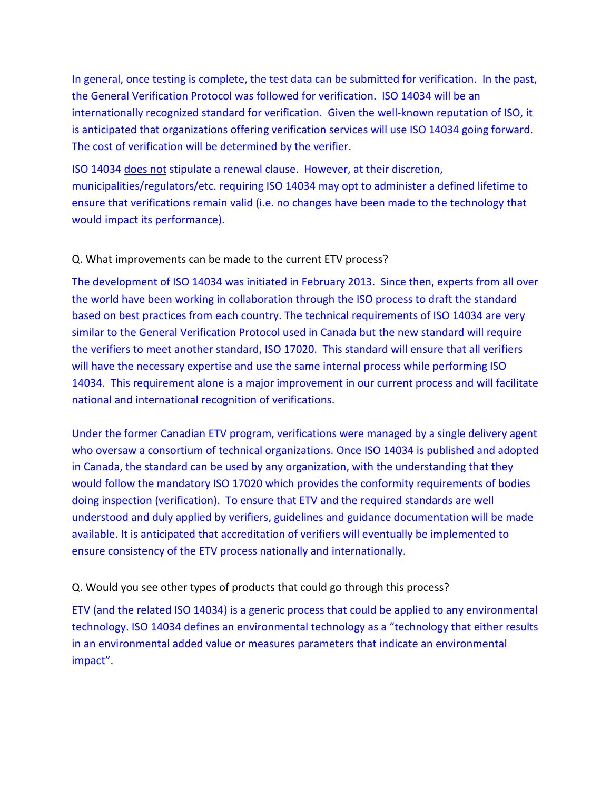In general, once testing is complete, the test data can be submitted for verification. In the past, the General Verification Protocol was followed for verification. ISO 14034 will be an internationally recognized standard for verification. Given the well-known reputation of ISO, it is anticipated that organizations offering verification services will use ISO 14034 going forward. The cost of verification will be determined by the verifier.

ISO 14034 does not stipulate a renewal clause. However, at their discretion, municipalities/regulators/etc. requiring ISO 14034 may opt to administer a defined lifetime to ensure that verifications remain valid (i.e. no changes have been made to the technology that would impact its performance).

#### Q. What improvements can be made to the current ETV process?

The development of ISO 14034 was initiated in February 2013. Since then, experts from all over the world have been working in collaboration through the ISO process to draft the standard based on best practices from each country. The technical requirements of ISO 14034 are very similar to the General Verification Protocol used in Canada but the new standard will require the verifiers to meet another standard, ISO 17020. This standard will ensure that all verifiers will have the necessary expertise and use the same internal process while performing ISO 14034. This requirement alone is a major improvement in our current process and will facilitate national and international recognition of verifications.

Under the former Canadian ETV program, verifications were managed by a single delivery agent who oversaw a consortium of technical organizations. Once ISO 14034 is published and adopted in Canada, the standard can be used by any organization, with the understanding that they would follow the mandatory ISO 17020 which provides the conformity requirements of bodies doing inspection (verification). To ensure that ETV and the required standards are well understood and duly applied by verifiers, guidelines and guidance documentation will be made available. It is anticipated that accreditation of verifiers will eventually be implemented to ensure consistency of the ETV process nationally and internationally.

#### Q. Would you see other types of products that could go through this process?

ETV (and the related ISO 14034) is a generic process that could be applied to any environmental technology. ISO 14034 defines an environmental technology as a "technology that either results in an environmental added value or measures parameters that indicate an environmental impact".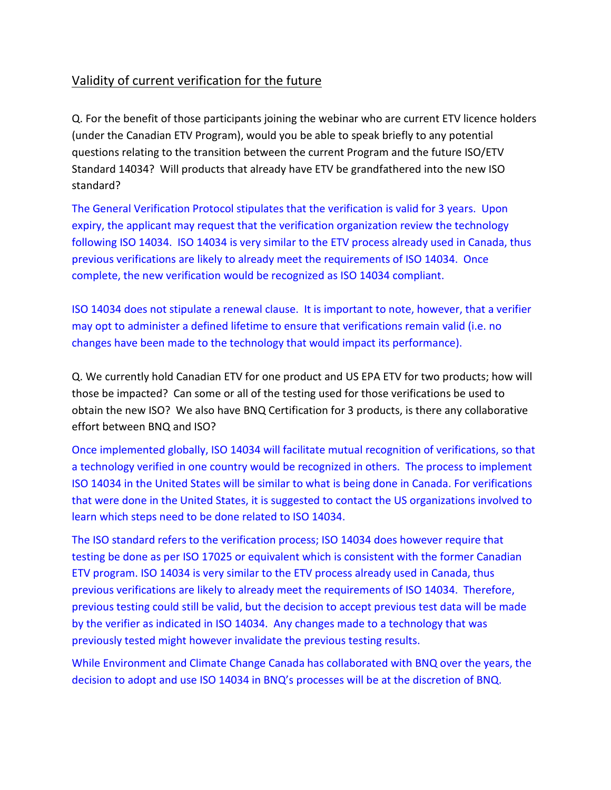# Validity of current verification for the future

Q. For the benefit of those participants joining the webinar who are current ETV licence holders (under the Canadian ETV Program), would you be able to speak briefly to any potential questions relating to the transition between the current Program and the future ISO/ETV Standard 14034? Will products that already have ETV be grandfathered into the new ISO standard?

The General Verification Protocol stipulates that the verification is valid for 3 years. Upon expiry, the applicant may request that the verification organization review the technology following ISO 14034. ISO 14034 is very similar to the ETV process already used in Canada, thus previous verifications are likely to already meet the requirements of ISO 14034. Once complete, the new verification would be recognized as ISO 14034 compliant.

ISO 14034 does not stipulate a renewal clause. It is important to note, however, that a verifier may opt to administer a defined lifetime to ensure that verifications remain valid (i.e. no changes have been made to the technology that would impact its performance).

Q. We currently hold Canadian ETV for one product and US EPA ETV for two products; how will those be impacted? Can some or all of the testing used for those verifications be used to obtain the new ISO? We also have BNQ Certification for 3 products, is there any collaborative effort between BNQ and ISO?

Once implemented globally, ISO 14034 will facilitate mutual recognition of verifications, so that a technology verified in one country would be recognized in others. The process to implement ISO 14034 in the United States will be similar to what is being done in Canada. For verifications that were done in the United States, it is suggested to contact the US organizations involved to learn which steps need to be done related to ISO 14034.

The ISO standard refers to the verification process; ISO 14034 does however require that testing be done as per ISO 17025 or equivalent which is consistent with the former Canadian ETV program. ISO 14034 is very similar to the ETV process already used in Canada, thus previous verifications are likely to already meet the requirements of ISO 14034. Therefore, previous testing could still be valid, but the decision to accept previous test data will be made by the verifier as indicated in ISO 14034. Any changes made to a technology that was previously tested might however invalidate the previous testing results.

While Environment and Climate Change Canada has collaborated with BNQ over the years, the decision to adopt and use ISO 14034 in BNQ's processes will be at the discretion of BNQ.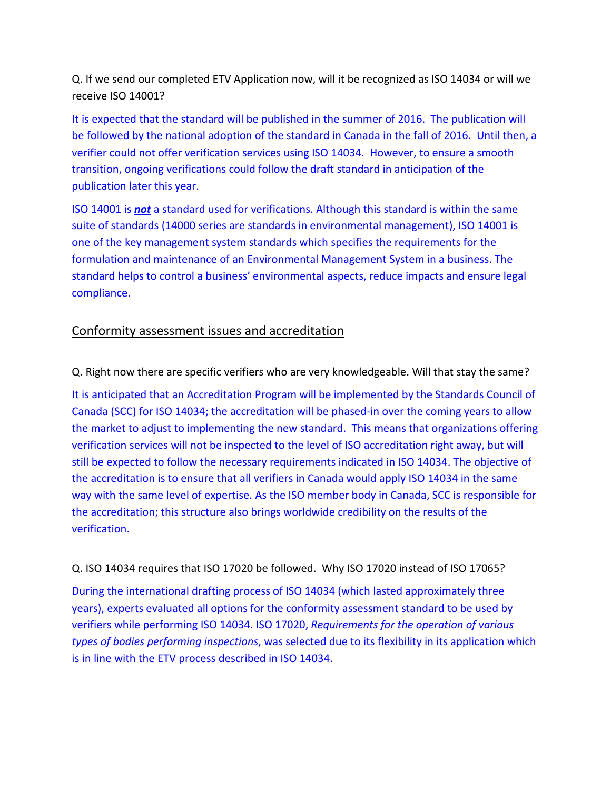Q. If we send our completed ETV Application now, will it be recognized as ISO 14034 or will we receive ISO 14001?

It is expected that the standard will be published in the summer of 2016. The publication will be followed by the national adoption of the standard in Canada in the fall of 2016. Until then, a verifier could not offer verification services using ISO 14034. However, to ensure a smooth transition, ongoing verifications could follow the draft standard in anticipation of the publication later this year.

ISO 14001 is *not* a standard used for verifications. Although this standard is within the same suite of standards (14000 series are standards in environmental management), ISO 14001 is one of the key management system standards which specifies the requirements for the formulation and maintenance of an Environmental Management System in a business. The standard helps to control a business' environmental aspects, reduce impacts and ensure legal compliance.

### Conformity assessment issues and accreditation

Q. Right now there are specific verifiers who are very knowledgeable. Will that stay the same?

It is anticipated that an Accreditation Program will be implemented by the Standards Council of Canada (SCC) for ISO 14034; the accreditation will be phased-in over the coming years to allow the market to adjust to implementing the new standard. This means that organizations offering verification services will not be inspected to the level of ISO accreditation right away, but will still be expected to follow the necessary requirements indicated in ISO 14034. The objective of the accreditation is to ensure that all verifiers in Canada would apply ISO 14034 in the same way with the same level of expertise. As the ISO member body in Canada, SCC is responsible for the accreditation; this structure also brings worldwide credibility on the results of the verification.

#### Q. ISO 14034 requires that ISO 17020 be followed. Why ISO 17020 instead of ISO 17065?

During the international drafting process of ISO 14034 (which lasted approximately three years), experts evaluated all options for the conformity assessment standard to be used by verifiers while performing ISO 14034. ISO 17020, *Requirements for the operation of various types of bodies performing inspections*, was selected due to its flexibility in its application which is in line with the ETV process described in ISO 14034.